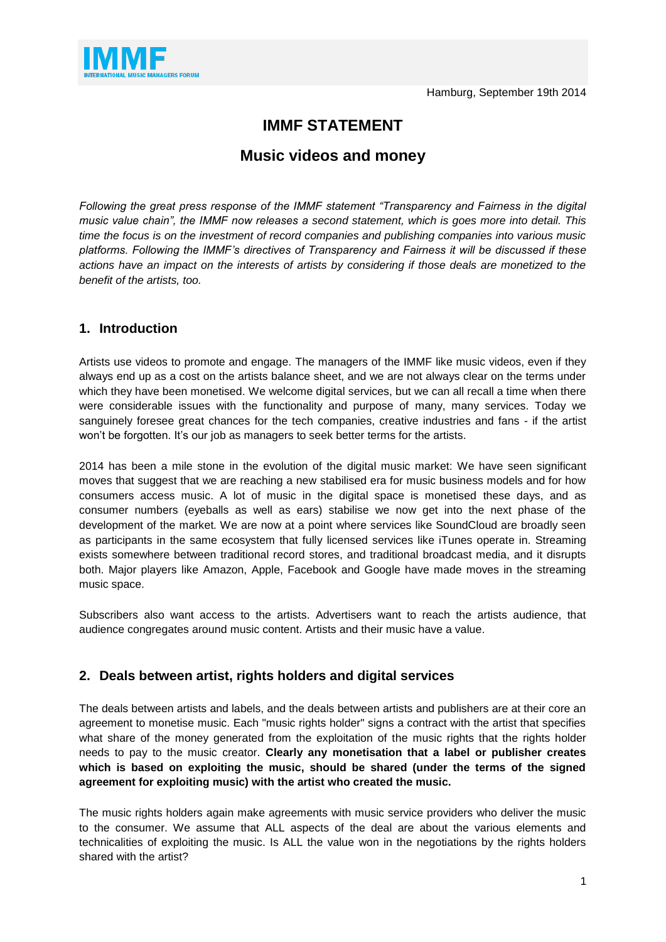

# **IMMF STATEMENT**

## **Music videos and money**

*Following the great press response of the IMMF statement "Transparency and Fairness in the digital music value chain", the IMMF now releases a second statement, which is goes more into detail. This time the focus is on the investment of record companies and publishing companies into various music platforms. Following the IMMF's directives of Transparency and Fairness it will be discussed if these actions have an impact on the interests of artists by considering if those deals are monetized to the benefit of the artists, too.*

### **1. Introduction**

Artists use videos to promote and engage. The managers of the IMMF like music videos, even if they always end up as a cost on the artists balance sheet, and we are not always clear on the terms under which they have been monetised. We welcome digital services, but we can all recall a time when there were considerable issues with the functionality and purpose of many, many services. Today we sanguinely foresee great chances for the tech companies, creative industries and fans - if the artist won't be forgotten. It's our job as managers to seek better terms for the artists.

2014 has been a mile stone in the evolution of the digital music market: We have seen significant moves that suggest that we are reaching a new stabilised era for music business models and for how consumers access music. A lot of music in the digital space is monetised these days, and as consumer numbers (eyeballs as well as ears) stabilise we now get into the next phase of the development of the market. We are now at a point where services like SoundCloud are broadly seen as participants in the same ecosystem that fully licensed services like iTunes operate in. Streaming exists somewhere between traditional record stores, and traditional broadcast media, and it disrupts both. Major players like Amazon, Apple, Facebook and Google have made moves in the streaming music space.

Subscribers also want access to the artists. Advertisers want to reach the artists audience, that audience congregates around music content. Artists and their music have a value.

### **2. Deals between artist, rights holders and digital services**

The deals between artists and labels, and the deals between artists and publishers are at their core an agreement to monetise music. Each "music rights holder" signs a contract with the artist that specifies what share of the money generated from the exploitation of the music rights that the rights holder needs to pay to the music creator. **Clearly any monetisation that a label or publisher creates which is based on exploiting the music, should be shared (under the terms of the signed agreement for exploiting music) with the artist who created the music.**

The music rights holders again make agreements with music service providers who deliver the music to the consumer. We assume that ALL aspects of the deal are about the various elements and technicalities of exploiting the music. Is ALL the value won in the negotiations by the rights holders shared with the artist?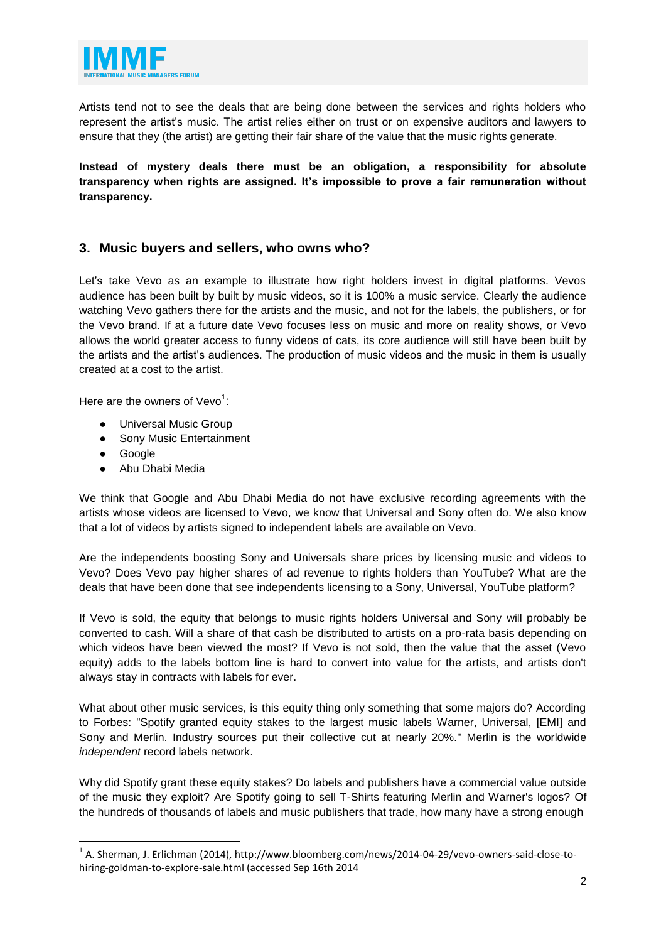

Artists tend not to see the deals that are being done between the services and rights holders who represent the artist's music. The artist relies either on trust or on expensive auditors and lawyers to ensure that they (the artist) are getting their fair share of the value that the music rights generate.

**Instead of mystery deals there must be an obligation, a responsibility for absolute transparency when rights are assigned. It's impossible to prove a fair remuneration without transparency.**

### **3. Music buyers and sellers, who owns who?**

Let's take Vevo as an example to illustrate how right holders invest in digital platforms. Vevos audience has been built by built by music videos, so it is 100% a music service. Clearly the audience watching Vevo gathers there for the artists and the music, and not for the labels, the publishers, or for the Vevo brand. If at a future date Vevo focuses less on music and more on reality shows, or Vevo allows the world greater access to funny videos of cats, its core audience will still have been built by the artists and the artist's audiences. The production of music videos and the music in them is usually created at a cost to the artist.

Here are the owners of Vevo<sup>1</sup>:

- Universal Music Group
- Sony Music Entertainment
- Google

 $\overline{a}$ 

● Abu Dhabi Media

We think that Google and Abu Dhabi Media do not have exclusive recording agreements with the artists whose videos are licensed to Vevo, we know that Universal and Sony often do. We also know that a lot of videos by artists signed to independent labels are available on Vevo.

Are the independents boosting Sony and Universals share prices by licensing music and videos to Vevo? Does Vevo pay higher shares of ad revenue to rights holders than YouTube? What are the deals that have been done that see independents licensing to a Sony, Universal, YouTube platform?

If Vevo is sold, the equity that belongs to music rights holders Universal and Sony will probably be converted to cash. Will a share of that cash be distributed to artists on a pro-rata basis depending on which videos have been viewed the most? If Vevo is not sold, then the value that the asset (Vevo equity) adds to the labels bottom line is hard to convert into value for the artists, and artists don't always stay in contracts with labels for ever.

What about other music services, is this equity thing only something that some majors do? According to Forbes: "Spotify granted equity stakes to the largest music labels Warner, Universal, [EMI] and Sony and Merlin. Industry sources put their collective cut at nearly 20%." Merlin is the worldwide *independent* record labels network.

Why did Spotify grant these equity stakes? Do labels and publishers have a commercial value outside of the music they exploit? Are Spotify going to sell T-Shirts featuring Merlin and Warner's logos? Of the hundreds of thousands of labels and music publishers that trade, how many have a strong enough

 $^{1}$  A. Sherman, J. Erlichman (2014), http://www.bloomberg.com/news/2014-04-29/vevo-owners-said-close-tohiring-goldman-to-explore-sale.html (accessed Sep 16th 2014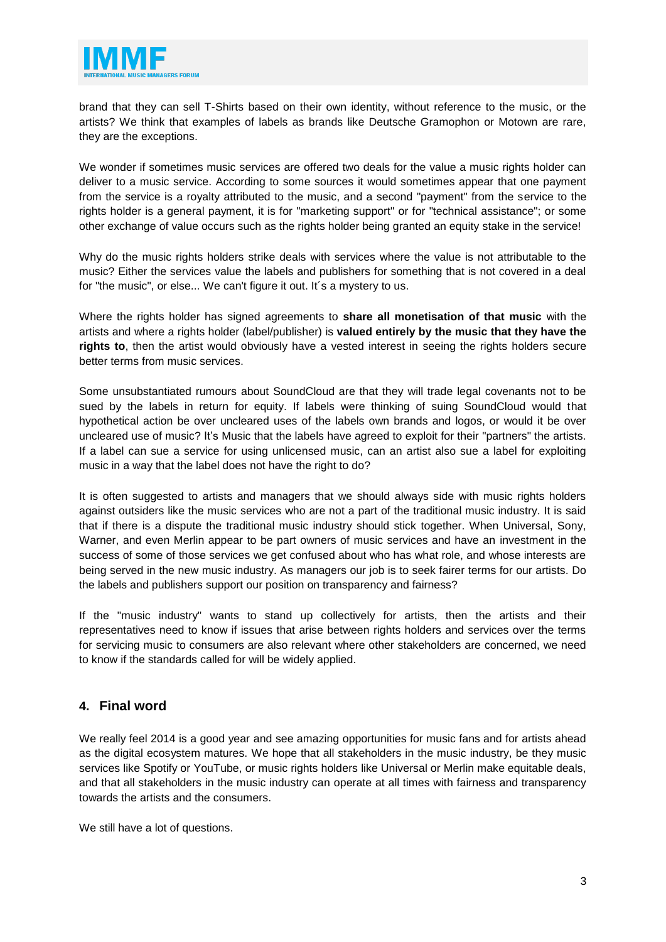

brand that they can sell T-Shirts based on their own identity, without reference to the music, or the artists? We think that examples of labels as brands like Deutsche Gramophon or Motown are rare, they are the exceptions.

We wonder if sometimes music services are offered two deals for the value a music rights holder can deliver to a music service. According to some sources it would sometimes appear that one payment from the service is a royalty attributed to the music, and a second "payment" from the service to the rights holder is a general payment, it is for "marketing support" or for "technical assistance"; or some other exchange of value occurs such as the rights holder being granted an equity stake in the service!

Why do the music rights holders strike deals with services where the value is not attributable to the music? Either the services value the labels and publishers for something that is not covered in a deal for "the music", or else... We can't figure it out. It's a mystery to us.

Where the rights holder has signed agreements to **share all monetisation of that music** with the artists and where a rights holder (label/publisher) is **valued entirely by the music that they have the rights to**, then the artist would obviously have a vested interest in seeing the rights holders secure better terms from music services.

Some unsubstantiated rumours about SoundCloud are that they will trade legal covenants not to be sued by the labels in return for equity. If labels were thinking of suing SoundCloud would that hypothetical action be over uncleared uses of the labels own brands and logos, or would it be over uncleared use of music? It's Music that the labels have agreed to exploit for their "partners" the artists. If a label can sue a service for using unlicensed music, can an artist also sue a label for exploiting music in a way that the label does not have the right to do?

It is often suggested to artists and managers that we should always side with music rights holders against outsiders like the music services who are not a part of the traditional music industry. It is said that if there is a dispute the traditional music industry should stick together. When Universal, Sony, Warner, and even Merlin appear to be part owners of music services and have an investment in the success of some of those services we get confused about who has what role, and whose interests are being served in the new music industry. As managers our job is to seek fairer terms for our artists. Do the labels and publishers support our position on transparency and fairness?

If the "music industry" wants to stand up collectively for artists, then the artists and their representatives need to know if issues that arise between rights holders and services over the terms for servicing music to consumers are also relevant where other stakeholders are concerned, we need to know if the standards called for will be widely applied.

### **4. Final word**

We really feel 2014 is a good year and see amazing opportunities for music fans and for artists ahead as the digital ecosystem matures. We hope that all stakeholders in the music industry, be they music services like Spotify or YouTube, or music rights holders like Universal or Merlin make equitable deals, and that all stakeholders in the music industry can operate at all times with fairness and transparency towards the artists and the consumers.

We still have a lot of questions.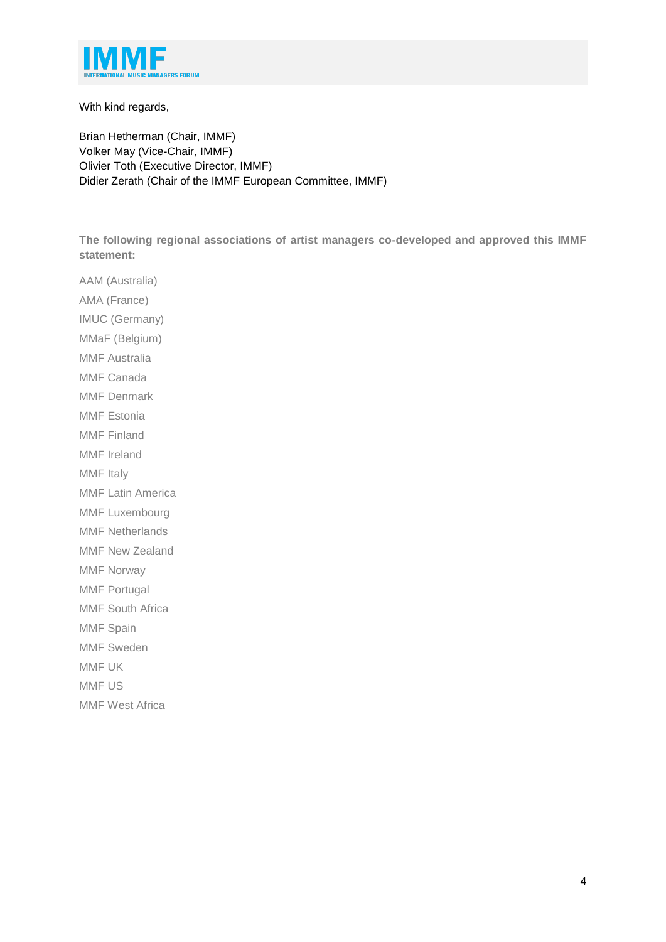

With kind regards,

Brian Hetherman (Chair, IMMF) Volker May (Vice-Chair, IMMF) Olivier Toth (Executive Director, IMMF) Didier Zerath (Chair of the IMMF European Committee, IMMF)

**The following regional associations of artist managers co-developed and approved this IMMF statement:**

AAM (Australia) AMA (France) IMUC (Germany) MMaF (Belgium) MMF Australia MMF Canada MMF Denmark MMF Estonia MMF Finland MMF Ireland MMF Italy MMF Latin America MMF Luxembourg MMF Netherlands MMF New Zealand MMF Norway MMF Portugal MMF South Africa MMF Spain MMF Sweden MMF UK MMF US MMF West Africa